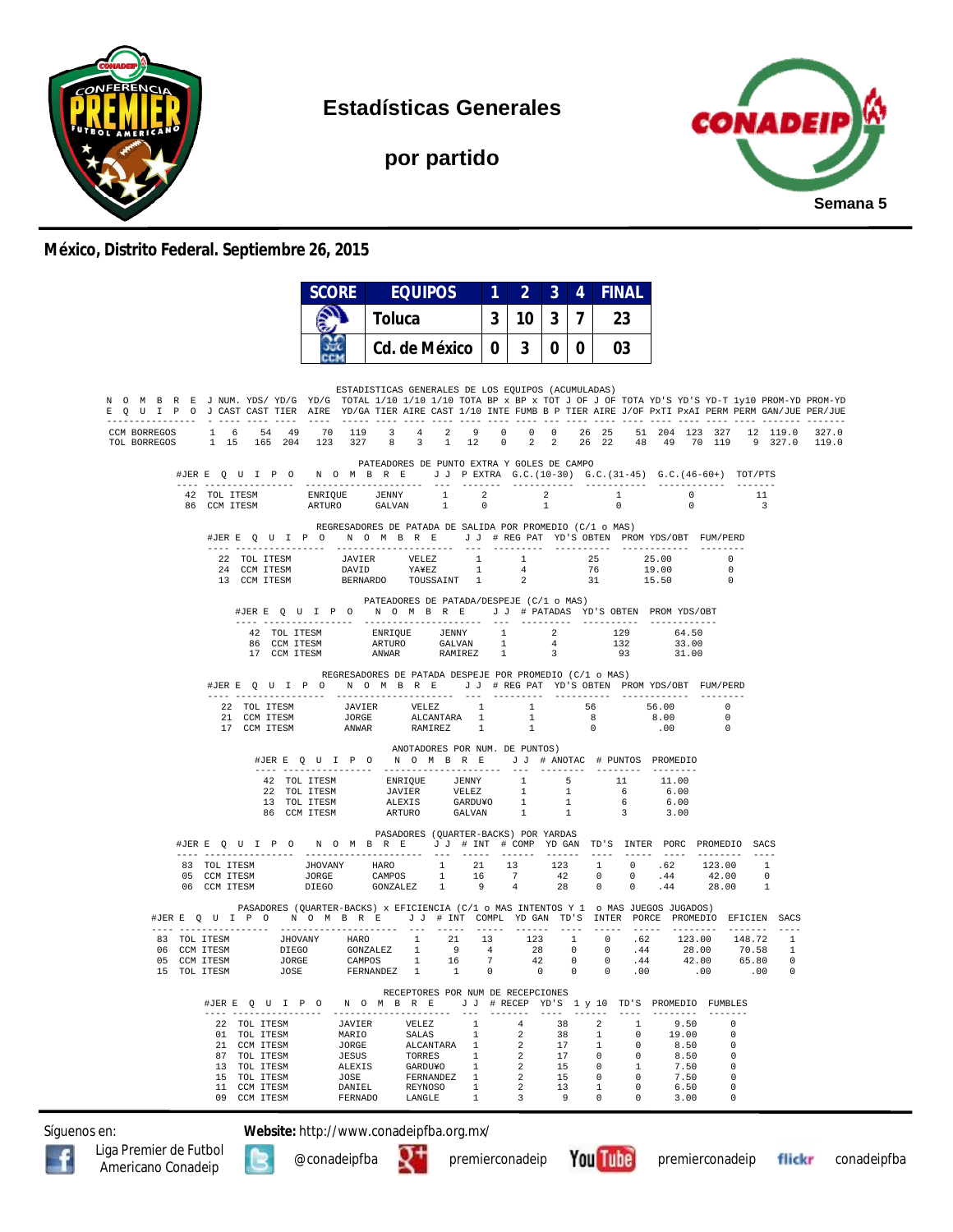

**Estadísticas Generales**

**por partido**



## **México, Distrito Federal. Septiembre 26, 2015**

|                                                                                                                                                                                                                                                        |                              |                                                                                                              | SCORE                                                         |        | <b>EQUIPOS</b>                                                                                                                                                                                                                                                                                                                                                             | 1                                                                                   | $\overline{2}$                               | $\mathbf{3}$                            | 4              | <b>FINAL</b>                                                                                              |                                                                  |                                                       |                                                                           |                                |       |
|--------------------------------------------------------------------------------------------------------------------------------------------------------------------------------------------------------------------------------------------------------|------------------------------|--------------------------------------------------------------------------------------------------------------|---------------------------------------------------------------|--------|----------------------------------------------------------------------------------------------------------------------------------------------------------------------------------------------------------------------------------------------------------------------------------------------------------------------------------------------------------------------------|-------------------------------------------------------------------------------------|----------------------------------------------|-----------------------------------------|----------------|-----------------------------------------------------------------------------------------------------------|------------------------------------------------------------------|-------------------------------------------------------|---------------------------------------------------------------------------|--------------------------------|-------|
|                                                                                                                                                                                                                                                        |                              |                                                                                                              |                                                               | Toluca |                                                                                                                                                                                                                                                                                                                                                                            | 3                                                                                   |                                              | $10 \mid 3 \mid$                        | $\overline{7}$ | 23                                                                                                        |                                                                  |                                                       |                                                                           |                                |       |
|                                                                                                                                                                                                                                                        |                              |                                                                                                              |                                                               |        | Cd. de México                                                                                                                                                                                                                                                                                                                                                              | 0 <sup>1</sup>                                                                      |                                              | 3   0   0                               |                | 03                                                                                                        |                                                                  |                                                       |                                                                           |                                |       |
|                                                                                                                                                                                                                                                        |                              |                                                                                                              |                                                               |        |                                                                                                                                                                                                                                                                                                                                                                            |                                                                                     |                                              |                                         |                |                                                                                                           |                                                                  |                                                       |                                                                           |                                |       |
| N O M B R E J NUM. YDS/YD/G YD/G TOTAL 1/10 1/10 1/10 TOTA BP x BP x TOT J OF J OF TOTA YD'S YD-T 1y10 PROM-YD PROM-YD<br>E Q U I P O J CAST CAST TIER AIRE YD/GA TIER AIRE CAST 1/10 INTE FUMB B P TIER AIRE J/OF PXTI PXAI PERM PERM GAN/JUE PER/JUE |                              |                                                                                                              |                                                               |        | ESTADISTICAS GENERALES DE LOS EQUIPOS (ACUMULADAS)                                                                                                                                                                                                                                                                                                                         |                                                                                     |                                              |                                         |                |                                                                                                           |                                                                  |                                                       |                                                                           |                                |       |
| CCM BORREGOS 1 6 54 49 70 119 3 4 2 9<br>TOL BORREGOS                                                                                                                                                                                                  |                              |                                                                                                              |                                                               |        | 1 15 165 204 123 327 8 3 1 12 0 2 2 26 22 48 49 70 119 9 327.0 119.0                                                                                                                                                                                                                                                                                                       |                                                                                     |                                              |                                         |                | 0 0 0 26 25 51 204 123 327 12 119.0                                                                       |                                                                  |                                                       |                                                                           |                                | 327.0 |
|                                                                                                                                                                                                                                                        |                              |                                                                                                              |                                                               |        | PATEADORES DE PUNTO EXTRA Y GOLES DE CAMPO<br>#JERE Q U I P O N O M B R E J J PEXTRA G.C. (10-30) G.C. (31-45) G.C. (46-60+) TOT/PTS                                                                                                                                                                                                                                       |                                                                                     |                                              |                                         |                |                                                                                                           |                                                                  |                                                       |                                                                           |                                |       |
|                                                                                                                                                                                                                                                        | 42 TOL ITESM<br>86 CCM ITESM |                                                                                                              |                                                               |        | ENRIQUE JENNY 1 2<br>ARTURO GALVAN 1 0                                                                                                                                                                                                                                                                                                                                     |                                                                                     |                                              | $\overline{\mathbf{2}}$<br>$\mathbf{1}$ |                | 1<br>$\overline{0}$                                                                                       |                                                                  | $\overline{0}$                                        | $\overline{0}$                                                            | 11<br>$\overline{\phantom{a}}$ |       |
|                                                                                                                                                                                                                                                        |                              |                                                                                                              |                                                               |        | REGRESADORES DE PATADA DE SALIDA POR PROMEDIO (C/1 o MAS)<br>#JERE QUIPO NOMBRE JJ #REGPAT YD'S OBTEN PROMYDS/OBT FUM/PERD                                                                                                                                                                                                                                                 |                                                                                     |                                              |                                         |                |                                                                                                           |                                                                  |                                                       |                                                                           |                                |       |
|                                                                                                                                                                                                                                                        |                              |                                                                                                              |                                                               |        | $\begin{tabular}{cccccccc} 22 & TOL ITESM & & JAVIER & VELEZ & 1 & 1 & 25 & 25.00 \\ 24 & CCM ITESM & & DAVID & YAYEZ & 1 & 4 & 76 & 19.00 \\ 13 & CCM ITESM & & BERNARDO & TOUSSAINT & 1 & 2 & 31 & 15.50 \\ \end{tabular}$                                                                                                                                               |                                                                                     |                                              |                                         |                |                                                                                                           |                                                                  |                                                       | 0<br>$\Omega$                                                             |                                |       |
|                                                                                                                                                                                                                                                        |                              |                                                                                                              |                                                               |        | PATEADORES DE PATADA/DESPEJE (C/1 o MAS)<br>#JERE Q U I P O N O M B R E J J # PATADAS YD'S OBTEN PROMYDS/OBT                                                                                                                                                                                                                                                               |                                                                                     |                                              |                                         |                |                                                                                                           |                                                                  |                                                       |                                                                           |                                |       |
|                                                                                                                                                                                                                                                        |                              |                                                                                                              |                                                               |        | $\begin{tabular}{lcccc} 42 & TOL ITESM & ENRIOUE & JENNY & 1 & 2 & 129 \\ 86 & CCM ITESM & ARTURO & GALVAN & 1 & 4 & 132 \\ 17 & CCM ITESM & ANWAR & RAMIREZ & 1 & 3 & 93 \\ \end{tabular}$                                                                                                                                                                                |                                                                                     |                                              |                                         |                | 93 31.00                                                                                                  |                                                                  | 64.50<br>33.00                                        |                                                                           |                                |       |
|                                                                                                                                                                                                                                                        |                              |                                                                                                              |                                                               |        | REGRESADORES DE PATADA DESPEJE POR PROMEDIO (C/1 o MAS)<br>#JERE Q U I P O N O M B R E J J # REG PAT YD'S OBTEN PROMYDS/OBT FUM/PERD                                                                                                                                                                                                                                       |                                                                                     |                                              |                                         |                |                                                                                                           |                                                                  |                                                       |                                                                           |                                |       |
|                                                                                                                                                                                                                                                        |                              |                                                                                                              |                                                               |        | $\begin{tabular}{cccccc} 22 & TOL ITESM & & JAVIER & VELEZ & 1 & 1 & 56 \\ 21 & CCM ITESM & & JORGE & & ALCANITARA & 1 & 1 & 8 \\ 17 & CCM ITESM & & ANWAR & RAMIREZ & 1 & 1 & 0 \\ \end{tabular}$                                                                                                                                                                         |                                                                                     |                                              |                                         |                |                                                                                                           | 8.00<br>.00                                                      |                                                       | 56.00 0<br>$\overline{0}$                                                 |                                |       |
|                                                                                                                                                                                                                                                        |                              |                                                                                                              |                                                               |        | ANOTADORES POR NUM. DE PUNTOS)<br>#JERE Q U I P O N O M B R E J J # ANOTAC # PUNTOS PROMEDIO                                                                                                                                                                                                                                                                               |                                                                                     |                                              |                                         |                |                                                                                                           |                                                                  |                                                       |                                                                           |                                |       |
|                                                                                                                                                                                                                                                        |                              |                                                                                                              |                                                               |        |                                                                                                                                                                                                                                                                                                                                                                            |                                                                                     |                                              |                                         |                |                                                                                                           |                                                                  |                                                       |                                                                           |                                |       |
|                                                                                                                                                                                                                                                        |                              |                                                                                                              |                                                               |        | PASADORES (QUARTER-BACKS) POR YARDAS<br>#JERE Q U I P O N O M B R E J J # INT # COMP YD GAN TD'S INTER PORC PROMEDIO SACS                                                                                                                                                                                                                                                  |                                                                                     |                                              |                                         |                |                                                                                                           |                                                                  |                                                       |                                                                           |                                |       |
|                                                                                                                                                                                                                                                        |                              |                                                                                                              |                                                               |        | $\begin{tabular}{cccccccc} 83 & TOL ITESM & JHOVANY & HARO & 1 & 21 & 13 & 123 & 1 & 0 & .62 & 123.00 & 1 \\ 05 & CCM ITESM & JORGE & CAMPOS & 1 & 16 & 7 & 42 & 0 & 0 & .44 & 42.00 & 0 \\ 06 & CCM ITESM & DIEGO & GONZALEZ & 1 & 9 & 4 & 28 & 0 & 0 & .44 & 28.00 & 1 \\ \end{tabular}$                                                                                 |                                                                                     |                                              |                                         |                |                                                                                                           |                                                                  |                                                       |                                                                           |                                |       |
|                                                                                                                                                                                                                                                        |                              |                                                                                                              |                                                               |        | PASADORES (QUARTER-BACKS) x EFICIENCIA (C/1 o MAS INTENTOS Y 1 o MAS JUEGOS JUGADOS)<br>#JERE Q U I P O N O M B R E J J # INT COMPL YDGAN TD'S INTER PORCE PROMEDIO EFICIEN SACS                                                                                                                                                                                           |                                                                                     |                                              |                                         |                |                                                                                                           |                                                                  |                                                       |                                                                           |                                |       |
|                                                                                                                                                                                                                                                        |                              |                                                                                                              |                                                               |        | $\begin{tabular}{cccccccc} \textbf{83} & \textbf{TOL TTSSM} & \textbf{JHOVANY} & \textbf{HARO} & 1 & 21 & 13 & 123 & 1 & 0 & .62 & 123.00 & 148.72 & 1 \\ \textbf{06} & \textbf{CCM TTSSM} & \textbf{DIEGO} & \textbf{GONZALEZ} & 1 & 9 & 4 & 28 & 0 & 0 & .44 & 28.00 & 70.58 & 1 \\ \textbf{05} & \textbf{CCM TTSSM} & \textbf{JORGE} & \textbf{CAMPOS} & 1 & 16 & 7 & $ |                                                                                     |                                              |                                         |                |                                                                                                           |                                                                  |                                                       |                                                                           |                                |       |
|                                                                                                                                                                                                                                                        |                              | #JERE Q U I P O                                                                                              |                                                               |        | RECEPTORES POR NUM DE RECEPCIONES<br>N O M B R E J J # RECEP YD'S 1 y 10 TD'S PROMEDIO FUMBLES                                                                                                                                                                                                                                                                             |                                                                                     | $-- - - - - -$                               |                                         |                | $\cdots$                                                                                                  |                                                                  | ----------                                            | $- - - - - - - -$                                                         |                                |       |
|                                                                                                                                                                                                                                                        |                              | 22 TOL ITESM<br>01 TOL ITESM<br>21 CCM ITESM<br>87 TOL ITESM<br>13 TOL ITESM<br>15 TOL ITESM<br>11 CCM ITESM | JAVIER<br>MARIO<br>JORGE<br>JESUS<br>ALEXIS<br>JOSE<br>DANIEL |        | VELEZ<br>SALAS<br>ALCANTARA 1<br>TORRES<br>GARDU¥O<br>FERNANDEZ<br>REYNOSO                                                                                                                                                                                                                                                                                                 | $\mathbf{1}$<br>$\mathbf{1}$<br>$\mathbf{1}$<br>1<br>$\overline{1}$<br>$\mathbf{1}$ | $\overline{4}$<br>2<br>2<br>2<br>2<br>2<br>2 | 38<br>38<br>17<br>17<br>15<br>15<br>13  |                | 2<br>$\overline{1}$<br>$\overline{1}$<br>1<br>$\circ$<br>$\overline{0}$<br>$\overline{0}$<br><sup>1</sup> | $\Omega$<br>$\Omega$<br>$\Omega$<br>$\mathbf{1}$<br>$\circ$<br>0 | 9.50<br>19.00<br>8.50<br>8.50<br>7.50<br>7.50<br>6.50 | $\Omega$<br>$\Omega$<br>$\Omega$<br>$\Omega$<br>$\Omega$<br>$\Omega$<br>0 |                                |       |
|                                                                                                                                                                                                                                                        |                              | 09 CCM ITESM                                                                                                 | FERNADO                                                       |        | LANGLE                                                                                                                                                                                                                                                                                                                                                                     | $\mathbf{1}$                                                                        | 3                                            | 9                                       |                | $^{\circ}$                                                                                                | $\mathbf{0}$                                                     | 3.00                                                  | 0                                                                         |                                |       |

Síguenos en: **Website:** http://www.conadeipfba.org.mx/